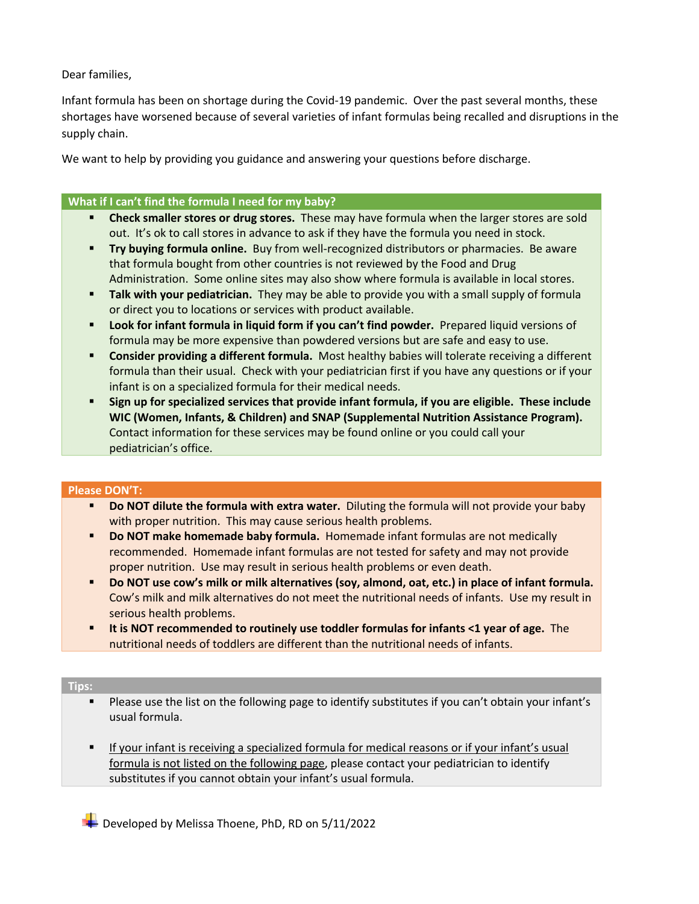Dear families,

Infant formula has been on shortage during the Covid-19 pandemic. Over the past several months, these shortages have worsened because of several varieties of infant formulas being recalled and disruptions in the supply chain.

We want to help by providing you guidance and answering your questions before discharge.

## **What if I can't find the formula I need for my baby?**

- § **Check smaller stores or drug stores.** These may have formula when the larger stores are sold out. It's ok to call stores in advance to ask if they have the formula you need in stock.
- **Try buying formula online.** Buy from well-recognized distributors or pharmacies. Be aware that formula bought from other countries is not reviewed by the Food and Drug Administration. Some online sites may also show where formula is available in local stores.
- **EXTE:** Talk with your pediatrician. They may be able to provide you with a small supply of formula or direct you to locations or services with product available.
- § **Look for infant formula in liquid form if you can't find powder.** Prepared liquid versions of formula may be more expensive than powdered versions but are safe and easy to use.
- § **Consider providing a different formula.** Most healthy babies will tolerate receiving a different formula than their usual. Check with your pediatrician first if you have any questions or if your infant is on a specialized formula for their medical needs.
- § **Sign up for specialized services that provide infant formula, if you are eligible. These include WIC (Women, Infants, & Children) and SNAP (Supplemental Nutrition Assistance Program).**  Contact information for these services may be found online or you could call your pediatrician's office.

## **Please DON'T:**

- **Do NOT dilute the formula with extra water.** Diluting the formula will not provide your baby with proper nutrition. This may cause serious health problems.
- § **Do NOT make homemade baby formula.** Homemade infant formulas are not medically recommended. Homemade infant formulas are not tested for safety and may not provide proper nutrition. Use may result in serious health problems or even death.
- § **Do NOT use cow's milk or milk alternatives (soy, almond, oat, etc.) in place of infant formula.**  Cow's milk and milk alternatives do not meet the nutritional needs of infants. Use my result in serious health problems.
- § **It is NOT recommended to routinely use toddler formulas for infants <1 year of age.** The nutritional needs of toddlers are different than the nutritional needs of infants.

## **Tips:**

- Please use the list on the following page to identify substitutes if you can't obtain your infant's usual formula.
- If your infant is receiving a specialized formula for medical reasons or if your infant's usual formula is not listed on the following page, please contact your pediatrician to identify substitutes if you cannot obtain your infant's usual formula.

Developed by Melissa Thoene, PhD, RD on 5/11/2022